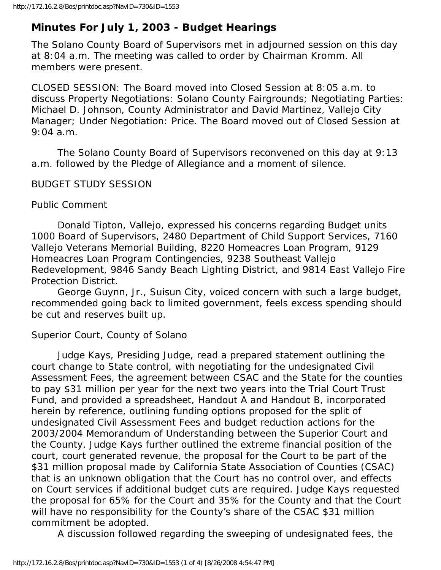# **Minutes For July 1, 2003 - Budget Hearings**

The Solano County Board of Supervisors met in adjourned session on this day at 8:04 a.m. The meeting was called to order by Chairman Kromm. All members were present.

CLOSED SESSION: The Board moved into Closed Session at 8:05 a.m. to discuss Property Negotiations: Solano County Fairgrounds; Negotiating Parties: Michael D. Johnson, County Administrator and David Martinez, Vallejo City Manager; Under Negotiation: Price. The Board moved out of Closed Session at 9:04 a.m.

 The Solano County Board of Supervisors reconvened on this day at 9:13 a.m. followed by the Pledge of Allegiance and a moment of silence.

## BUDGET STUDY SESSION

Public Comment

 Donald Tipton, Vallejo, expressed his concerns regarding Budget units 1000 Board of Supervisors, 2480 Department of Child Support Services, 7160 Vallejo Veterans Memorial Building, 8220 Homeacres Loan Program, 9129 Homeacres Loan Program Contingencies, 9238 Southeast Vallejo Redevelopment, 9846 Sandy Beach Lighting District, and 9814 East Vallejo Fire Protection District.

 George Guynn, Jr., Suisun City, voiced concern with such a large budget, recommended going back to limited government, feels excess spending should be cut and reserves built up.

Superior Court, County of Solano

 Judge Kays, Presiding Judge, read a prepared statement outlining the court change to State control, with negotiating for the undesignated Civil Assessment Fees, the agreement between CSAC and the State for the counties to pay \$31 million per year for the next two years into the Trial Court Trust Fund, and provided a spreadsheet, Handout A and Handout B, incorporated herein by reference, outlining funding options proposed for the split of undesignated Civil Assessment Fees and budget reduction actions for the 2003/2004 Memorandum of Understanding between the Superior Court and the County. Judge Kays further outlined the extreme financial position of the court, court generated revenue, the proposal for the Court to be part of the \$31 million proposal made by California State Association of Counties (CSAC) that is an unknown obligation that the Court has no control over, and effects on Court services if additional budget cuts are required. Judge Kays requested the proposal for 65% for the Court and 35% for the County and that the Court will have no responsibility for the County's share of the CSAC \$31 million commitment be adopted.

A discussion followed regarding the sweeping of undesignated fees, the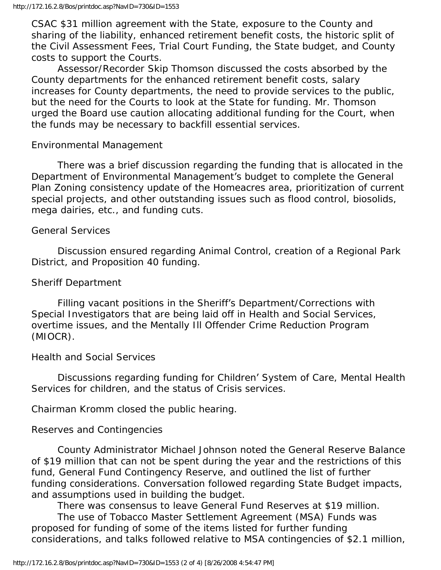CSAC \$31 million agreement with the State, exposure to the County and sharing of the liability, enhanced retirement benefit costs, the historic split of the Civil Assessment Fees, Trial Court Funding, the State budget, and County costs to support the Courts.

 Assessor/Recorder Skip Thomson discussed the costs absorbed by the County departments for the enhanced retirement benefit costs, salary increases for County departments, the need to provide services to the public, but the need for the Courts to look at the State for funding. Mr. Thomson urged the Board use caution allocating additional funding for the Court, when the funds may be necessary to backfill essential services.

#### Environmental Management

 There was a brief discussion regarding the funding that is allocated in the Department of Environmental Management's budget to complete the General Plan Zoning consistency update of the Homeacres area, prioritization of current special projects, and other outstanding issues such as flood control, biosolids, mega dairies, etc., and funding cuts.

#### General Services

 Discussion ensured regarding Animal Control, creation of a Regional Park District, and Proposition 40 funding.

#### Sheriff Department

 Filling vacant positions in the Sheriff's Department/Corrections with Special Investigators that are being laid off in Health and Social Services, overtime issues, and the Mentally Ill Offender Crime Reduction Program (MIOCR).

#### Health and Social Services

 Discussions regarding funding for Children' System of Care, Mental Health Services for children, and the status of Crisis services.

Chairman Kromm closed the public hearing.

#### Reserves and Contingencies

 County Administrator Michael Johnson noted the General Reserve Balance of \$19 million that can not be spent during the year and the restrictions of this fund, General Fund Contingency Reserve, and outlined the list of further funding considerations. Conversation followed regarding State Budget impacts, and assumptions used in building the budget.

There was consensus to leave General Fund Reserves at \$19 million.

 The use of Tobacco Master Settlement Agreement (MSA) Funds was proposed for funding of some of the items listed for further funding considerations, and talks followed relative to MSA contingencies of \$2.1 million,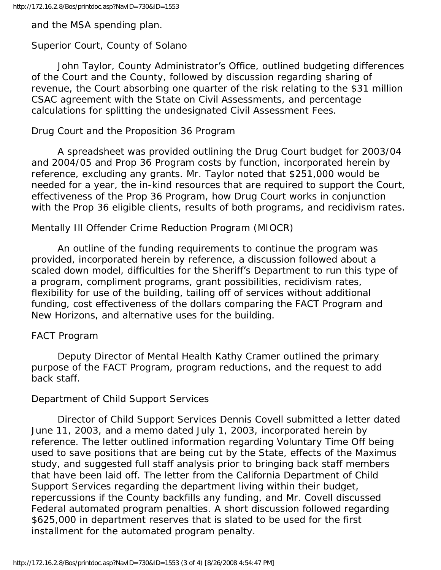and the MSA spending plan.

## Superior Court, County of Solano

 John Taylor, County Administrator's Office, outlined budgeting differences of the Court and the County, followed by discussion regarding sharing of revenue, the Court absorbing one quarter of the risk relating to the \$31 million CSAC agreement with the State on Civil Assessments, and percentage calculations for splitting the undesignated Civil Assessment Fees.

## Drug Court and the Proposition 36 Program

 A spreadsheet was provided outlining the Drug Court budget for 2003/04 and 2004/05 and Prop 36 Program costs by function, incorporated herein by reference, excluding any grants. Mr. Taylor noted that \$251,000 would be needed for a year, the in-kind resources that are required to support the Court, effectiveness of the Prop 36 Program, how Drug Court works in conjunction with the Prop 36 eligible clients, results of both programs, and recidivism rates.

## Mentally Ill Offender Crime Reduction Program (MIOCR)

 An outline of the funding requirements to continue the program was provided, incorporated herein by reference, a discussion followed about a scaled down model, difficulties for the Sheriff's Department to run this type of a program, compliment programs, grant possibilities, recidivism rates, flexibility for use of the building, tailing off of services without additional funding, cost effectiveness of the dollars comparing the FACT Program and New Horizons, and alternative uses for the building.

## FACT Program

 Deputy Director of Mental Health Kathy Cramer outlined the primary purpose of the FACT Program, program reductions, and the request to add back staff.

## Department of Child Support Services

 Director of Child Support Services Dennis Covell submitted a letter dated June 11, 2003, and a memo dated July 1, 2003, incorporated herein by reference. The letter outlined information regarding Voluntary Time Off being used to save positions that are being cut by the State, effects of the Maximus study, and suggested full staff analysis prior to bringing back staff members that have been laid off. The letter from the California Department of Child Support Services regarding the department living within their budget, repercussions if the County backfills any funding, and Mr. Covell discussed Federal automated program penalties. A short discussion followed regarding \$625,000 in department reserves that is slated to be used for the first installment for the automated program penalty.